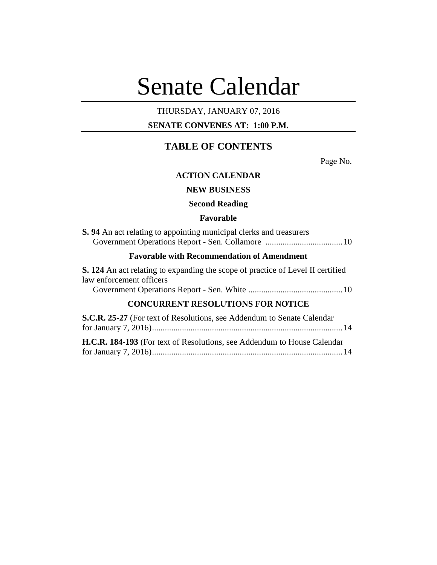# Senate Calendar

# THURSDAY, JANUARY 07, 2016

# **SENATE CONVENES AT: 1:00 P.M.**

# **TABLE OF CONTENTS**

Page No.

# **ACTION CALENDAR**

# **NEW BUSINESS**

# **Second Reading**

#### **Favorable**

| <b>S.</b> 94 An act relating to appointing municipal clerks and treasurers |  |
|----------------------------------------------------------------------------|--|
|                                                                            |  |

# **Favorable with Recommendation of Amendment**

**S. 124** An act relating to expanding the scope of practice of Level II certified law enforcement officers Government Operations Report - Sen. White ............................................10

# **CONCURRENT RESOLUTIONS FOR NOTICE**

| S.C.R. 25-27 (For text of Resolutions, see Addendum to Senate Calendar          |  |
|---------------------------------------------------------------------------------|--|
|                                                                                 |  |
| <b>H.C.R. 184-193</b> (For text of Resolutions, see Addendum to House Calendar) |  |
|                                                                                 |  |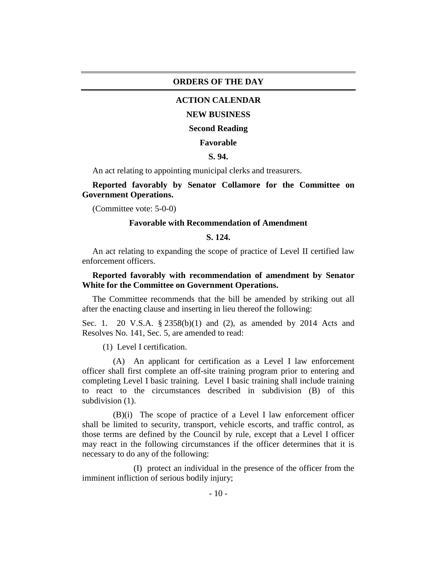#### **ORDERS OF THE DAY**

## **ACTION CALENDAR**

#### **NEW BUSINESS**

#### **Second Reading**

#### **Favorable**

#### **S. 94.**

An act relating to appointing municipal clerks and treasurers.

**Reported favorably by Senator Collamore for the Committee on Government Operations.**

(Committee vote: 5-0-0)

#### **Favorable with Recommendation of Amendment**

#### **S. 124.**

An act relating to expanding the scope of practice of Level II certified law enforcement officers.

# **Reported favorably with recommendation of amendment by Senator White for the Committee on Government Operations.**

The Committee recommends that the bill be amended by striking out all after the enacting clause and inserting in lieu thereof the following:

Sec. 1. 20 V.S.A. § 2358(b)(1) and (2), as amended by 2014 Acts and Resolves No. 141, Sec. 5, are amended to read:

(1) Level I certification.

(A) An applicant for certification as a Level I law enforcement officer shall first complete an off-site training program prior to entering and completing Level I basic training. Level I basic training shall include training to react to the circumstances described in subdivision (B) of this subdivision  $(1)$ .

(B)(i) The scope of practice of a Level I law enforcement officer shall be limited to security, transport, vehicle escorts, and traffic control, as those terms are defined by the Council by rule, except that a Level I officer may react in the following circumstances if the officer determines that it is necessary to do any of the following:

(I) protect an individual in the presence of the officer from the imminent infliction of serious bodily injury;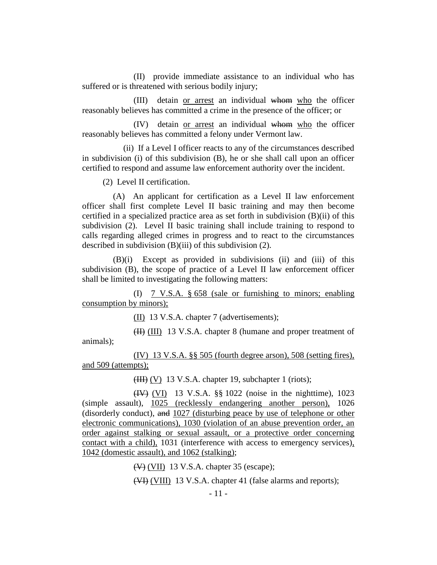(II) provide immediate assistance to an individual who has suffered or is threatened with serious bodily injury;

(III) detain or arrest an individual whom who the officer reasonably believes has committed a crime in the presence of the officer; or

(IV) detain or arrest an individual whom who the officer reasonably believes has committed a felony under Vermont law.

(ii) If a Level I officer reacts to any of the circumstances described in subdivision (i) of this subdivision (B), he or she shall call upon an officer certified to respond and assume law enforcement authority over the incident.

(2) Level II certification.

(A) An applicant for certification as a Level II law enforcement officer shall first complete Level II basic training and may then become certified in a specialized practice area as set forth in subdivision (B)(ii) of this subdivision (2). Level II basic training shall include training to respond to calls regarding alleged crimes in progress and to react to the circumstances described in subdivision (B)(iii) of this subdivision (2).

(B)(i) Except as provided in subdivisions (ii) and (iii) of this subdivision (B), the scope of practice of a Level II law enforcement officer shall be limited to investigating the following matters:

(I) 7 V.S.A. § 658 (sale or furnishing to minors; enabling consumption by minors);

(II) 13 V.S.A. chapter 7 (advertisements);

(II) (III) 13 V.S.A. chapter 8 (humane and proper treatment of animals);

(IV) 13 V.S.A. §§ 505 (fourth degree arson), 508 (setting fires), and 509 (attempts);

 $(HH) (V)$  13 V.S.A. chapter 19, subchapter 1 (riots);

(IV) (VI) 13 V.S.A. §§ 1022 (noise in the nighttime), 1023 (simple assault), 1025 (recklessly endangering another person), 1026 (disorderly conduct), and 1027 (disturbing peace by use of telephone or other electronic communications), 1030 (violation of an abuse prevention order, an order against stalking or sexual assault, or a protective order concerning contact with a child), 1031 (interference with access to emergency services), 1042 (domestic assault), and 1062 (stalking);

(V) (VII) 13 V.S.A. chapter 35 (escape);

(VI) (VIII) 13 V.S.A. chapter 41 (false alarms and reports);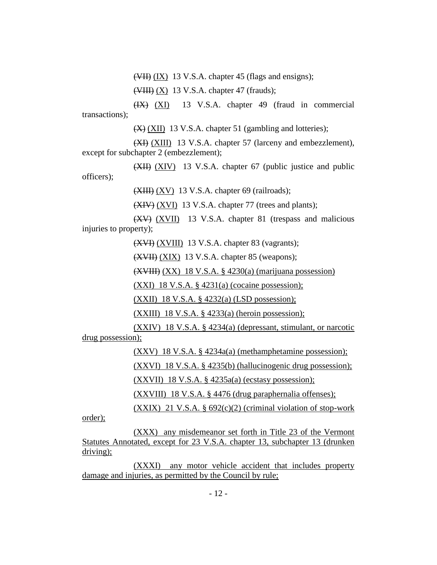$(WII)$   $(IX)$  13 V.S.A. chapter 45 (flags and ensigns);

 $(\overline{\text{VHH}})$  (X) 13 V.S.A. chapter 47 (frauds);

(IX) (XI) 13 V.S.A. chapter 49 (fraud in commercial transactions);

(X) (XII) 13 V.S.A. chapter 51 (gambling and lotteries);

(XI) (XIII) 13 V.S.A. chapter 57 (larceny and embezzlement), except for subchapter 2 (embezzlement);

(XII) (XIV) 13 V.S.A. chapter 67 (public justice and public officers);

 $(XIII) (XV)$  13 V.S.A. chapter 69 (railroads);

(XIV) (XVI) 13 V.S.A. chapter 77 (trees and plants);

(XV) (XVII) 13 V.S.A. chapter 81 (trespass and malicious injuries to property);

(XVI) (XVIII) 13 V.S.A. chapter 83 (vagrants);

(XVII) (XIX) 13 V.S.A. chapter 85 (weapons);

(XVIII) (XX) 18 V.S.A. § 4230(a) (marijuana possession)

 $(XXI)$  18 V.S.A. § 4231(a) (cocaine possession);

(XXII) 18 V.S.A. § 4232(a) (LSD possession);

 $(XXIII)$  18 V.S.A. § 4233(a) (heroin possession);

(XXIV) 18 V.S.A. § 4234(a) (depressant, stimulant, or narcotic drug possession);

(XXV) 18 V.S.A. § 4234a(a) (methamphetamine possession);

(XXVI) 18 V.S.A. § 4235(b) (hallucinogenic drug possession);

 $(XXVII)$  18 V.S.A. § 4235a(a) (ecstasy possession);

(XXVIII) 18 V.S.A. § 4476 (drug paraphernalia offenses);

 $(XXIX)$  21 V.S.A. § 692 $(c)(2)$  (criminal violation of stop-work

order);

(XXX) any misdemeanor set forth in Title 23 of the Vermont Statutes Annotated, except for 23 V.S.A. chapter 13, subchapter 13 (drunken driving);

(XXXI) any motor vehicle accident that includes property damage and injuries, as permitted by the Council by rule;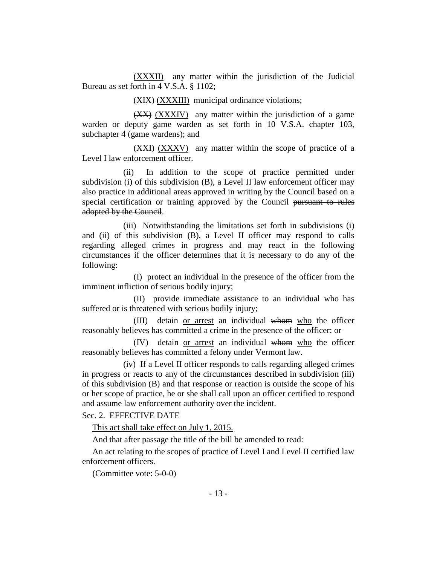(XXXII) any matter within the jurisdiction of the Judicial Bureau as set forth in 4 V.S.A. § 1102;

(XIX) (XXXIII) municipal ordinance violations;

(XX) (XXXIV) any matter within the jurisdiction of a game warden or deputy game warden as set forth in 10 V.S.A. chapter 103, subchapter 4 (game wardens); and

(XXI) (XXXV) any matter within the scope of practice of a Level I law enforcement officer.

(ii) In addition to the scope of practice permitted under subdivision (i) of this subdivision (B), a Level II law enforcement officer may also practice in additional areas approved in writing by the Council based on a special certification or training approved by the Council pursuant to rules adopted by the Council.

(iii) Notwithstanding the limitations set forth in subdivisions (i) and (ii) of this subdivision (B), a Level II officer may respond to calls regarding alleged crimes in progress and may react in the following circumstances if the officer determines that it is necessary to do any of the following:

(I) protect an individual in the presence of the officer from the imminent infliction of serious bodily injury;

(II) provide immediate assistance to an individual who has suffered or is threatened with serious bodily injury;

(III) detain or arrest an individual whom who the officer reasonably believes has committed a crime in the presence of the officer; or

(IV) detain or arrest an individual whom who the officer reasonably believes has committed a felony under Vermont law.

(iv) If a Level II officer responds to calls regarding alleged crimes in progress or reacts to any of the circumstances described in subdivision (iii) of this subdivision (B) and that response or reaction is outside the scope of his or her scope of practice, he or she shall call upon an officer certified to respond and assume law enforcement authority over the incident.

Sec. 2. EFFECTIVE DATE

This act shall take effect on July 1, 2015.

And that after passage the title of the bill be amended to read:

An act relating to the scopes of practice of Level I and Level II certified law enforcement officers.

(Committee vote: 5-0-0)